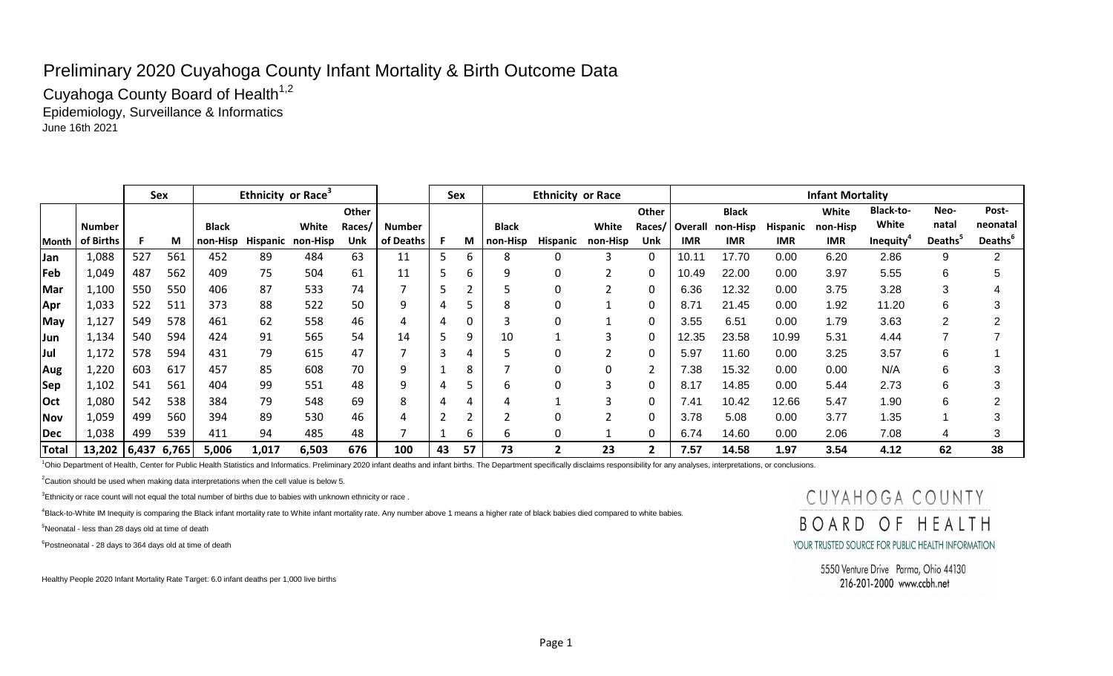## Preliminary 2020 Cuyahoga County Infant Mortality & Birth Outcome Data

Cuyahoga County Board of Health<sup>1,2</sup> Epidemiology, Surveillance & Informatics June 16th 2021

|              |                      |     | Sex |              | Ethnicity or Race <sup>3</sup> |                            |        |           | Sex |    |              | <b>Ethnicity or Race</b> |          |       |            |                         |                 | <b>Infant Mortality</b> |                  |               |               |
|--------------|----------------------|-----|-----|--------------|--------------------------------|----------------------------|--------|-----------|-----|----|--------------|--------------------------|----------|-------|------------|-------------------------|-----------------|-------------------------|------------------|---------------|---------------|
|              |                      |     |     |              |                                |                            | Other  |           |     |    |              |                          |          | Other |            | <b>Black</b>            |                 | White                   | <b>Black-to-</b> | Neo-          | Post-         |
|              | Number               |     |     | <b>Black</b> |                                | White                      | Races/ | Number    |     |    | <b>Black</b> |                          | White    |       |            | Races/ Overall non-Hisp | <b>Hispanic</b> | non-Hisp                | White            | natal         | neonatal      |
|              | Month of Births      |     | М   |              |                                | non-Hisp Hispanic non-Hisp | Unk    | of Deaths |     |    | M   non-Hisp | <b>Hispanic</b>          | non-Hisp | Unk   | <b>IMR</b> | <b>IMR</b>              | IMR.            | <b>IMR</b>              | <b>Inequity</b>  | <b>Deaths</b> | <b>Deaths</b> |
| <b>Jan</b>   | 1,088                | 527 | 561 | 452          | 89                             | 484                        | 63     |           |     | b  |              | 0                        |          |       | 10.1'      | 17.70                   | 0.00            | 6.20                    | 2.86             |               | റ             |
| Feb          | 1,049                | 487 | 562 | 409          | 75                             | 504                        | 61     |           |     | h  |              | 0                        |          | 0     | 10.49      | 22.00                   | 0.00            | 3.97                    | 5.55             |               | ა             |
| Mar          | 1,100                | 550 | 550 | 406          | 87                             | 533                        | 74     |           |     |    |              | 0                        |          |       | 6.36       | 12.32                   | 0.00            | 3.75                    | 3.28             |               |               |
| Apr          | 1,033                | 522 | 511 | 373          | 88                             | 522                        | 50     |           |     |    |              | 0                        |          | 0     | 8.71       | 21.45                   | 0.00            | 1.92                    | 11.20            |               | 3             |
| <b>May</b>   | 1,127                | 549 | 578 | 461          | 62                             | 558                        | 46     |           |     | 0  |              | 0                        |          | 0     | 3.55       | 6.51                    | 0.00            | 1.79                    | 3.63             |               | $\sim$<br>∠   |
| <b>Jun</b>   | 1,134                | 540 | 594 | 424          | 91                             | 565                        | 54     | 14        |     | 9  | 10           |                          | 3        |       | 12.35      | 23.58                   | 10.99           | 5.31                    | 4.44             |               |               |
| <b>Jul</b>   | 1,172                | 578 | 594 | 431          | 79                             | 615                        | 47     |           |     |    |              | 0                        |          |       | 5.97       | 11.60                   | 0.00            | 3.25                    | 3.57             |               |               |
| Aug          | 1,220                | 603 | 617 | 457          | 85                             | 608                        | 70     |           |     | 8  |              | 0                        | 0        |       | 7.38       | 15.32                   | 0.00            | 0.00                    | N/A              |               | 3             |
| <b>Sep</b>   | 1,102                | 541 | 561 | 404          | 99                             | 551                        | 48     |           |     |    |              | 0                        | 3        |       | 8.17       | 14.85                   | 0.00            | 5.44                    | 2.73             |               | 3             |
| <b>Oct</b>   | 1,080                | 542 | 538 | 384          | 79                             | 548                        | 69     |           |     |    |              |                          | 3        | 0     | 7.41       | 10.42                   | 12.66           | 5.47                    | 1.90             | 6             | $\sim$        |
| Nov          | 1,059                | 499 | 560 | 394          | 89                             | 530                        | 46     |           |     |    |              | 0                        |          | -0    | 3.78       | 5.08                    | 0.00            | 3.77                    | 1.35             |               | 3             |
| Dec          | 1,038                | 499 | 539 | 411          | 94                             | 485                        | 48     |           |     | b  |              | 0                        |          |       | 6.74       | 14.60                   | 0.00            | 2.06                    | 7.08             |               | 3             |
| <b>Total</b> | 13,202   6,437 6,765 |     |     | 5,006        | 1,017                          | 6,503                      | 676    | 100       | 43  | 57 | 73           | 2                        | 23       |       | 7.57       | 14.58                   | 1.97            | 3.54                    | 4.12             | 62            | 38            |

<sup>1</sup>Ohio Department of Health, Center for Public Health Statistics and Informatics. Preliminary 2020 infant deaths and infant births. The Department specifically disclaims responsibility for any analyses, interpretations, o

 $2$ Caution should be used when making data interpretations when the cell value is below 5.

 $3$ Ethnicity or race count will not equal the total number of births due to babies with unknown ethnicity or race.

<sup>4</sup>Black-to-White IM Inequity is comparing the Black infant mortality rate to White infant mortality rate. Any number above 1 means a higher rate of black babies died compared to white babies.

 $5$ Neonatal - less than 28 days old at time of death

 $6P$ ostneonatal - 28 days to 364 days old at time of death

Healthy People 2020 Infant Mortality Rate Target: 6.0 infant deaths per 1,000 live births

## CUYAHOGA COUNTY BOARD OF HEALTH YOUR TRUSTED SOURCE FOR PUBLIC HEALTH INFORMATION

5550 Venture Drive Parma, Ohio 44130 216-201-2000 www.ccbh.net